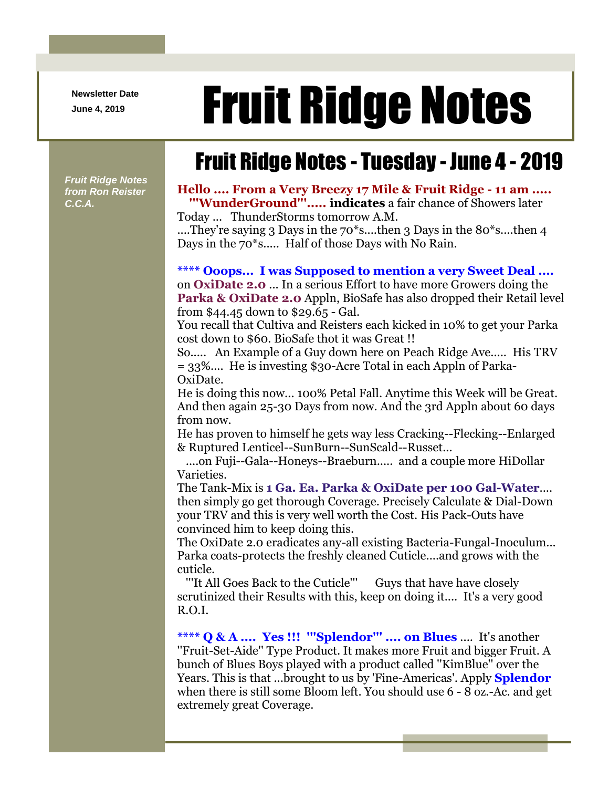**Newsletter Date**

# Newsletter Date **Fruit Ridge Notes**

# Fruit Ridge Notes - Tuesday - June 4 - 2019

*Fruit Ridge Notes from Ron Reister C.C.A.*

#### **Hello .... From a Very Breezy 17 Mile & Fruit Ridge - 11 am ..... '''WunderGround'''..... indicates** a fair chance of Showers later Today ... ThunderStorms tomorrow A.M.

....They're saying 3 Days in the 70<sup>\*</sup>s....then 3 Days in the 80<sup>\*</sup>s....then 4 Days in the 70\*s..... Half of those Days with No Rain.

## **\*\*\*\* Ooops... I was Supposed to mention a very Sweet Deal ....**

on **OxiDate 2.0** ... In a serious Effort to have more Growers doing the **Parka & OxiDate 2.0** Appln, BioSafe has also dropped their Retail level from \$44.45 down to \$29.65 - Gal.

You recall that Cultiva and Reisters each kicked in 10% to get your Parka cost down to \$60. BioSafe thot it was Great !!

So..... An Example of a Guy down here on Peach Ridge Ave..... His TRV = 33%.... He is investing \$30-Acre Total in each Appln of Parka-OxiDate.

He is doing this now... 100% Petal Fall. Anytime this Week will be Great. And then again 25-30 Days from now. And the 3rd Appln about 60 days from now.

He has proven to himself he gets way less Cracking--Flecking--Enlarged & Ruptured Lenticel--SunBurn--SunScald--Russet...

....on Fuji--Gala--Honeys--Braeburn..... and a couple more HiDollar Varieties.

The Tank-Mix is **1 Ga. Ea. Parka & OxiDate per 100 Gal-Water**.... then simply go get thorough Coverage. Precisely Calculate & Dial-Down your TRV and this is very well worth the Cost. His Pack-Outs have convinced him to keep doing this.

The OxiDate 2.0 eradicates any-all existing Bacteria-Fungal-Inoculum... Parka coats-protects the freshly cleaned Cuticle....and grows with the cuticle.

'''It All Goes Back to the Cuticle''' Guys that have have closely scrutinized their Results with this, keep on doing it.... It's a very good R.O.I.

**\*\*\*\* Q & A .... Yes !!! '''Splendor''' .... on Blues** .... It's another ''Fruit-Set-Aide'' Type Product. It makes more Fruit and bigger Fruit. A bunch of Blues Boys played with a product called ''KimBlue'' over the Years. This is that ...brought to us by 'Fine-Americas'. Apply **Splendor** when there is still some Bloom left. You should use 6 - 8 oz.-Ac. and get extremely great Coverage.